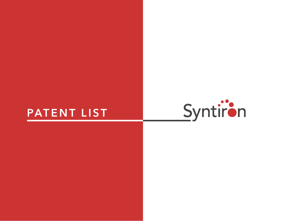## **PATENT LIST**